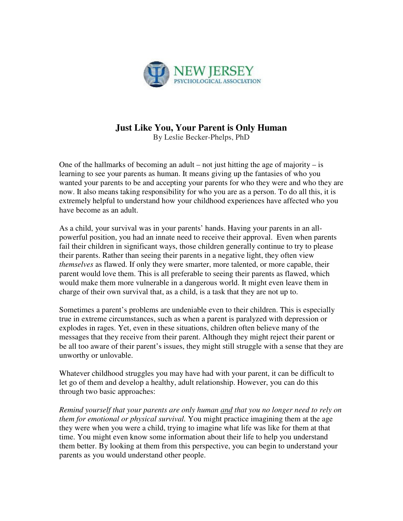

## **Just Like You, Your Parent is Only Human**

By Leslie Becker-Phelps, PhD

One of the hallmarks of becoming an adult – not just hitting the age of majority – is learning to see your parents as human. It means giving up the fantasies of who you wanted your parents to be and accepting your parents for who they were and who they are now. It also means taking responsibility for who you are as a person. To do all this, it is extremely helpful to understand how your childhood experiences have affected who you have become as an adult.

As a child, your survival was in your parents' hands. Having your parents in an allpowerful position, you had an innate need to receive their approval. Even when parents fail their children in significant ways, those children generally continue to try to please their parents. Rather than seeing their parents in a negative light, they often view *themselves* as flawed. If only they were smarter, more talented, or more capable, their parent would love them. This is all preferable to seeing their parents as flawed, which would make them more vulnerable in a dangerous world. It might even leave them in charge of their own survival that, as a child, is a task that they are not up to.

Sometimes a parent's problems are undeniable even to their children. This is especially true in extreme circumstances, such as when a parent is paralyzed with depression or explodes in rages. Yet, even in these situations, children often believe many of the messages that they receive from their parent. Although they might reject their parent or be all too aware of their parent's issues, they might still struggle with a sense that they are unworthy or unlovable.

Whatever childhood struggles you may have had with your parent, it can be difficult to let go of them and develop a healthy, adult relationship. However, you can do this through two basic approaches:

*Remind yourself that your parents are only human and that you no longer need to rely on them for emotional or physical survival.* You might practice imagining them at the age they were when you were a child, trying to imagine what life was like for them at that time. You might even know some information about their life to help you understand them better. By looking at them from this perspective, you can begin to understand your parents as you would understand other people.